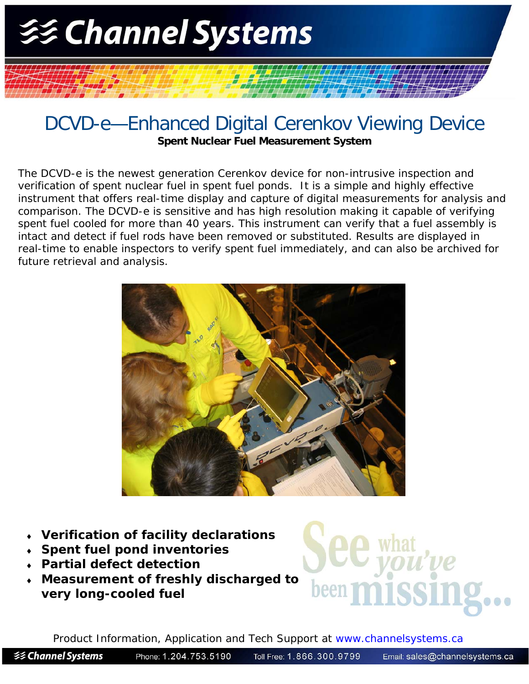

## DCVD-e—Enhanced Digital Cerenkov Viewing Device **Spent Nuclear Fuel Measurement System**

The DCVD-e is the newest generation Cerenkov device for non-intrusive inspection and verification of spent nuclear fuel in spent fuel ponds. It is a simple and highly effective instrument that offers real-time display and capture of digital measurements for analysis and comparison. The DCVD-e is sensitive and has high resolution making it capable of verifying spent fuel cooled for more than 40 years. This instrument can verify that a fuel assembly is intact and detect if fuel rods have been removed or substituted. Results are displayed in real-time to enable inspectors to verify spent fuel immediately, and can also be archived for future retrieval and analysis.



- **Verification of facility declarations**
- **Spent fuel pond inventories**
- **Partial defect detection**
- **Measurement of freshly discharged to very long-cooled fuel**



Product Information, Application and Tech Support at www.channelsystems.ca